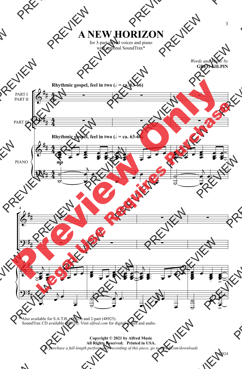

for 3-part mixed voices and piano with optional SoundTrax<sup>\*</sup>

> Words and Music by **GREG GILPIN**



\* Also available for S.A.T.B. (48923) and 2-part (48925). SoundTrax CD available (48926). Visit alfred.com for digital scores and audio.

> **Copyright © 2021 by Alfred Music** All Rights Reserved. Printed in USA. To purchase a full-length performance recording of this piece, go to alfred.com/downloads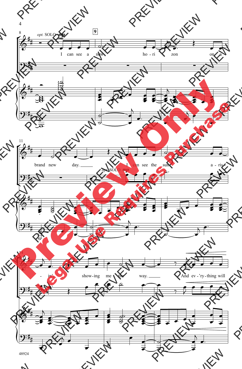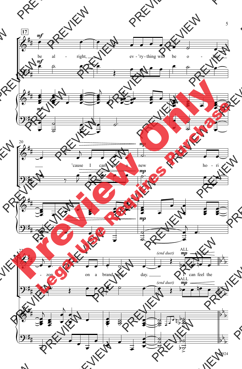

5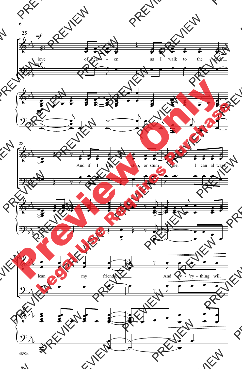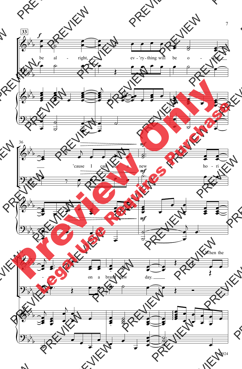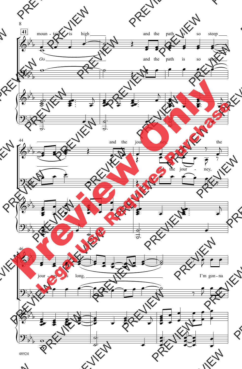![](_page_5_Figure_0.jpeg)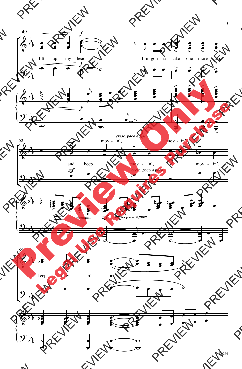![](_page_6_Figure_0.jpeg)

9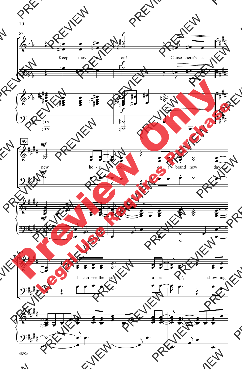![](_page_7_Figure_0.jpeg)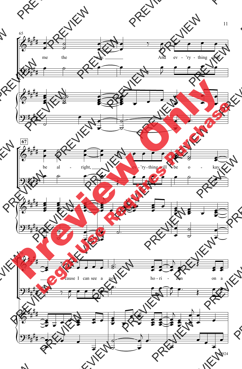![](_page_8_Figure_0.jpeg)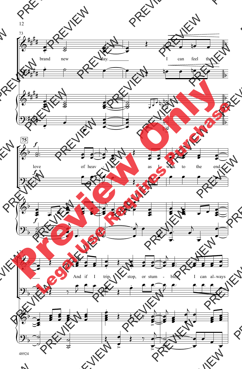![](_page_9_Figure_0.jpeg)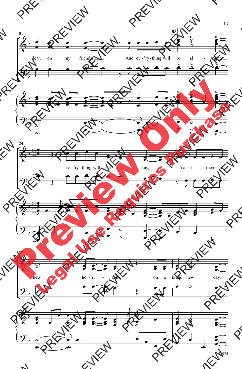![](_page_10_Figure_0.jpeg)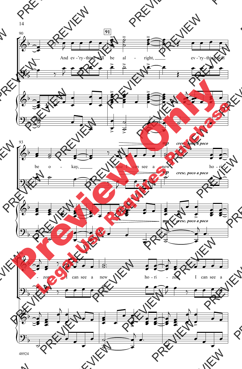![](_page_11_Figure_0.jpeg)

48924